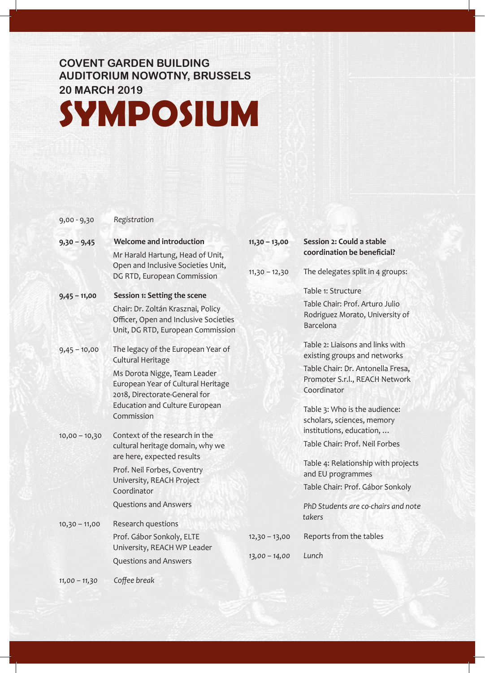## **COVENT GARDEN BUILDING AUDITORIUM NOWOTNY, BRUSSELS 20 MARCH 2019**

## **SYMPOSIUM**

## 9,00 - 9,30 *Registration*

| $9,30 - 9,45$   | <b>Welcome and introduction</b><br>Mr Harald Hartung, Head of Unit,                                                                                                                                                   | $11,30 - 13,00$                    | Session 2: Could a stable<br>coordination be beneficial?                                                                                                                                                              |
|-----------------|-----------------------------------------------------------------------------------------------------------------------------------------------------------------------------------------------------------------------|------------------------------------|-----------------------------------------------------------------------------------------------------------------------------------------------------------------------------------------------------------------------|
|                 | Open and Inclusive Societies Unit,<br>DG RTD, European Commission                                                                                                                                                     | $11,30 - 12,30$                    | The delegates split in 4 groups:                                                                                                                                                                                      |
| $9,45 - 11,00$  | Session 1: Setting the scene<br>Chair: Dr. Zoltán Krasznai, Policy<br>Officer, Open and Inclusive Societies<br>Unit, DG RTD, European Commission                                                                      |                                    | Table 1: Structure<br>Table Chair: Prof. Arturo Julio<br>Rodriguez Morato, University of<br>Barcelona                                                                                                                 |
| $9,45 - 10,00$  | The legacy of the European Year of<br>Cultural Heritage<br>Ms Dorota Nigge, Team Leader<br>European Year of Cultural Heritage<br>2018, Directorate-General for<br><b>Education and Culture European</b><br>Commission |                                    | Table 2: Liaisons and links with<br>existing groups and networks<br>Table Chair: Dr. Antonella Fresa,<br>Promoter S.r.l., REACH Network<br>Coordinator<br>Table 3: Who is the audience:<br>scholars, sciences, memory |
| $10,00 - 10,30$ | Context of the research in the<br>cultural heritage domain, why we<br>are here, expected results<br>Prof. Neil Forbes, Coventry<br>University, REACH Project<br>Coordinator<br><b>Questions and Answers</b>           |                                    | institutions, education,<br>Table Chair: Prof. Neil Forbes<br>Table 4: Relationship with projects<br>and EU programmes<br>Table Chair: Prof. Gábor Sonkoly<br>PhD Students are co-chairs and note                     |
| $10,30 - 11,00$ | Research questions<br>Prof. Gábor Sonkoly, ELTE<br>University, REACH WP Leader<br><b>Questions and Answers</b>                                                                                                        | $12,30 - 13,00$<br>$13,00 - 14,00$ | takers<br>Reports from the tables<br>Lunch                                                                                                                                                                            |

*11,00 – 11,30 Coffee break*